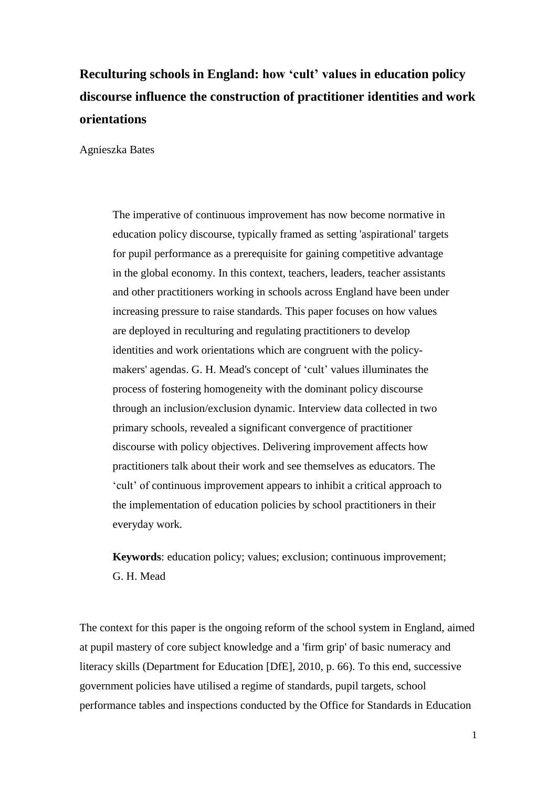# **Reculturing schools in England: how 'cult' values in education policy discourse influence the construction of practitioner identities and work orientations**

Agnieszka Bates

The imperative of continuous improvement has now become normative in education policy discourse, typically framed as setting 'aspirational' targets for pupil performance as a prerequisite for gaining competitive advantage in the global economy. In this context, teachers, leaders, teacher assistants and other practitioners working in schools across England have been under increasing pressure to raise standards. This paper focuses on how values are deployed in reculturing and regulating practitioners to develop identities and work orientations which are congruent with the policymakers' agendas. G. H. Mead's concept of 'cult' values illuminates the process of fostering homogeneity with the dominant policy discourse through an inclusion/exclusion dynamic. Interview data collected in two primary schools, revealed a significant convergence of practitioner discourse with policy objectives. Delivering improvement affects how practitioners talk about their work and see themselves as educators. The 'cult' of continuous improvement appears to inhibit a critical approach to the implementation of education policies by school practitioners in their everyday work.

**Keywords**: education policy; values; exclusion; continuous improvement; G. H. Mead

The context for this paper is the ongoing reform of the school system in England, aimed at pupil mastery of core subject knowledge and a 'firm grip' of basic numeracy and literacy skills (Department for Education [DfE], 2010, p. 66). To this end, successive government policies have utilised a regime of standards, pupil targets, school performance tables and inspections conducted by the Office for Standards in Education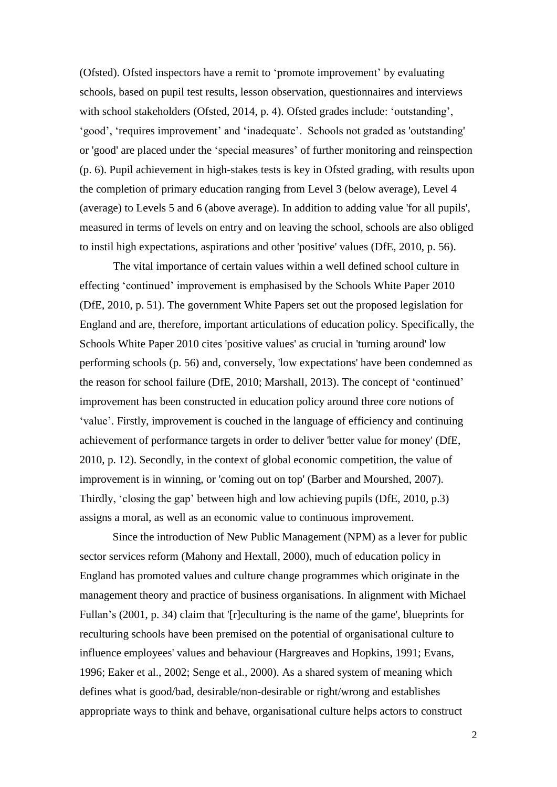(Ofsted). Ofsted inspectors have a remit to 'promote improvement' by evaluating schools, based on pupil test results, lesson observation, questionnaires and interviews with school stakeholders (Ofsted, 2014, p. 4). Ofsted grades include: 'outstanding', 'good', 'requires improvement' and 'inadequate'. Schools not graded as 'outstanding' or 'good' are placed under the 'special measures' of further monitoring and reinspection (p. 6). Pupil achievement in high-stakes tests is key in Ofsted grading, with results upon the completion of primary education ranging from Level 3 (below average), Level 4 (average) to Levels 5 and 6 (above average). In addition to adding value 'for all pupils', measured in terms of levels on entry and on leaving the school, schools are also obliged to instil high expectations, aspirations and other 'positive' values (DfE, 2010, p. 56).

The vital importance of certain values within a well defined school culture in effecting 'continued' improvement is emphasised by the Schools White Paper 2010 (DfE, 2010, p. 51). The government White Papers set out the proposed legislation for England and are, therefore, important articulations of education policy. Specifically, the Schools White Paper 2010 cites 'positive values' as crucial in 'turning around' low performing schools (p. 56) and, conversely, 'low expectations' have been condemned as the reason for school failure (DfE, 2010; Marshall, 2013). The concept of 'continued' improvement has been constructed in education policy around three core notions of 'value'. Firstly, improvement is couched in the language of efficiency and continuing achievement of performance targets in order to deliver 'better value for money' (DfE, 2010, p. 12). Secondly, in the context of global economic competition, the value of improvement is in winning, or 'coming out on top' (Barber and Mourshed, 2007). Thirdly, 'closing the gap' between high and low achieving pupils (DfE, 2010, p.3) assigns a moral, as well as an economic value to continuous improvement.

Since the introduction of New Public Management (NPM) as a lever for public sector services reform (Mahony and Hextall, 2000), much of education policy in England has promoted values and culture change programmes which originate in the management theory and practice of business organisations. In alignment with Michael Fullan's (2001, p. 34) claim that '[r]eculturing is the name of the game', blueprints for reculturing schools have been premised on the potential of organisational culture to influence employees' values and behaviour (Hargreaves and Hopkins, 1991; Evans, 1996; Eaker et al., 2002; Senge et al., 2000). As a shared system of meaning which defines what is good/bad, desirable/non-desirable or right/wrong and establishes appropriate ways to think and behave, organisational culture helps actors to construct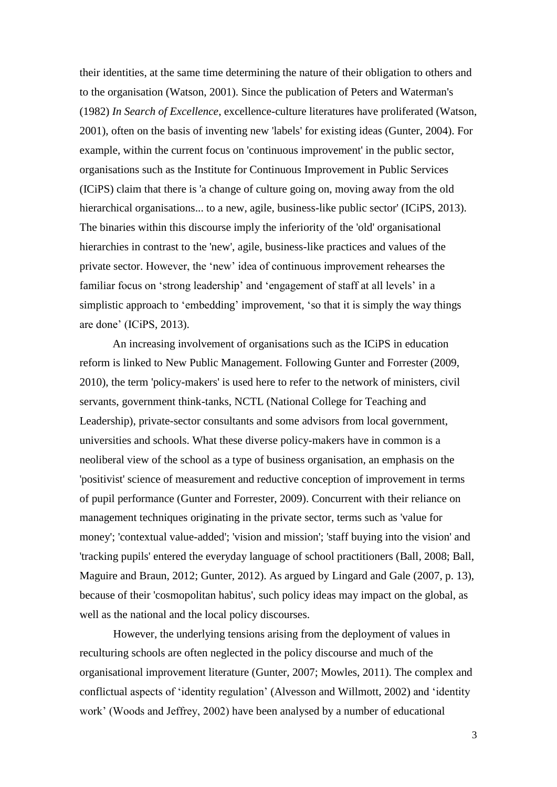their identities, at the same time determining the nature of their obligation to others and to the organisation (Watson, 2001). Since the publication of Peters and Waterman's (1982) *In Search of Excellence*, excellence-culture literatures have proliferated (Watson, 2001), often on the basis of inventing new 'labels' for existing ideas (Gunter, 2004). For example, within the current focus on 'continuous improvement' in the public sector, organisations such as the Institute for Continuous Improvement in Public Services (ICiPS) claim that there is 'a change of culture going on, moving away from the old hierarchical organisations... to a new, agile, business-like public sector' (ICiPS, 2013). The binaries within this discourse imply the inferiority of the 'old' organisational hierarchies in contrast to the 'new', agile, business-like practices and values of the private sector. However, the 'new' idea of continuous improvement rehearses the familiar focus on 'strong leadership' and 'engagement of staff at all levels' in a simplistic approach to 'embedding' improvement, 'so that it is simply the way things are done' (ICiPS, 2013).

An increasing involvement of organisations such as the ICiPS in education reform is linked to New Public Management. Following Gunter and Forrester (2009, 2010), the term 'policy-makers' is used here to refer to the network of ministers, civil servants, government think-tanks, NCTL (National College for Teaching and Leadership), private-sector consultants and some advisors from local government, universities and schools. What these diverse policy-makers have in common is a neoliberal view of the school as a type of business organisation, an emphasis on the 'positivist' science of measurement and reductive conception of improvement in terms of pupil performance (Gunter and Forrester, 2009). Concurrent with their reliance on management techniques originating in the private sector, terms such as 'value for money'; 'contextual value-added'; 'vision and mission'; 'staff buying into the vision' and 'tracking pupils' entered the everyday language of school practitioners (Ball, 2008; Ball, Maguire and Braun, 2012; Gunter, 2012). As argued by Lingard and Gale (2007, p. 13), because of their 'cosmopolitan habitus', such policy ideas may impact on the global, as well as the national and the local policy discourses.

However, the underlying tensions arising from the deployment of values in reculturing schools are often neglected in the policy discourse and much of the organisational improvement literature (Gunter, 2007; Mowles, 2011). The complex and conflictual aspects of 'identity regulation' (Alvesson and Willmott, 2002) and 'identity work' (Woods and Jeffrey, 2002) have been analysed by a number of educational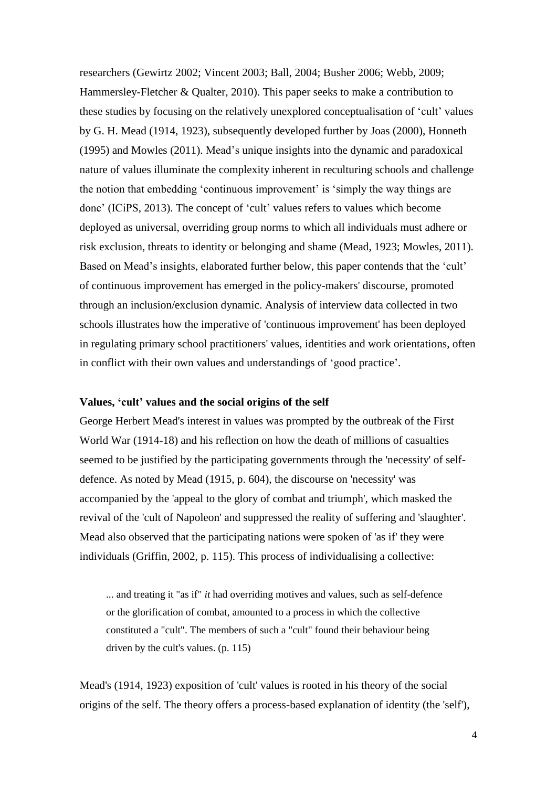researchers (Gewirtz 2002; Vincent 2003; Ball, 2004; Busher 2006; Webb, 2009; Hammersley-Fletcher & Qualter, 2010). This paper seeks to make a contribution to these studies by focusing on the relatively unexplored conceptualisation of 'cult' values by G. H. Mead (1914, 1923), subsequently developed further by Joas (2000), Honneth (1995) and Mowles (2011). Mead's unique insights into the dynamic and paradoxical nature of values illuminate the complexity inherent in reculturing schools and challenge the notion that embedding 'continuous improvement' is 'simply the way things are done' (ICiPS, 2013). The concept of 'cult' values refers to values which become deployed as universal, overriding group norms to which all individuals must adhere or risk exclusion, threats to identity or belonging and shame (Mead, 1923; Mowles, 2011). Based on Mead's insights, elaborated further below, this paper contends that the 'cult' of continuous improvement has emerged in the policy-makers' discourse, promoted through an inclusion/exclusion dynamic. Analysis of interview data collected in two schools illustrates how the imperative of 'continuous improvement' has been deployed in regulating primary school practitioners' values, identities and work orientations, often in conflict with their own values and understandings of 'good practice'.

## **Values, 'cult' values and the social origins of the self**

George Herbert Mead's interest in values was prompted by the outbreak of the First World War (1914-18) and his reflection on how the death of millions of casualties seemed to be justified by the participating governments through the 'necessity' of selfdefence. As noted by Mead (1915, p. 604), the discourse on 'necessity' was accompanied by the 'appeal to the glory of combat and triumph', which masked the revival of the 'cult of Napoleon' and suppressed the reality of suffering and 'slaughter'. Mead also observed that the participating nations were spoken of 'as if' they were individuals (Griffin, 2002, p. 115). This process of individualising a collective:

... and treating it "as if" *it* had overriding motives and values, such as self-defence or the glorification of combat, amounted to a process in which the collective constituted a "cult". The members of such a "cult" found their behaviour being driven by the cult's values. (p. 115)

Mead's (1914, 1923) exposition of 'cult' values is rooted in his theory of the social origins of the self. The theory offers a process-based explanation of identity (the 'self'),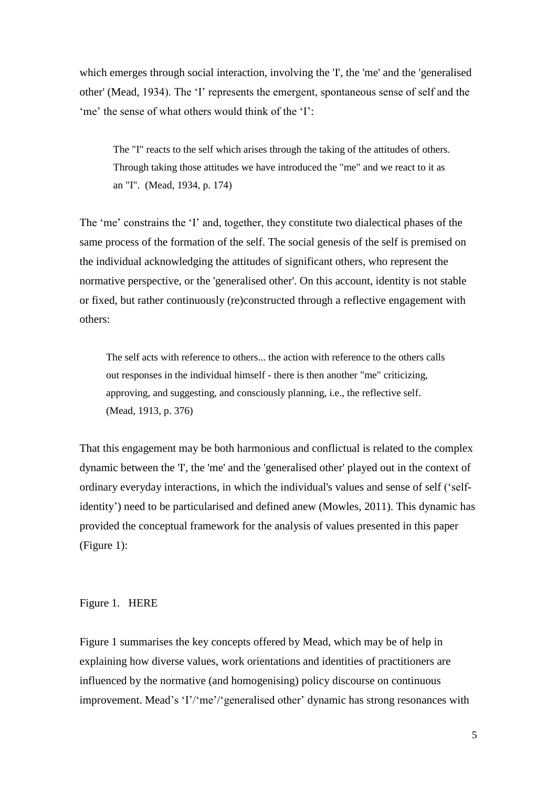which emerges through social interaction, involving the 'I', the 'me' and the 'generalised other' (Mead, 1934). The 'I' represents the emergent, spontaneous sense of self and the 'me' the sense of what others would think of the 'I':

The "I" reacts to the self which arises through the taking of the attitudes of others. Through taking those attitudes we have introduced the "me" and we react to it as an "I". (Mead, 1934, p. 174)

The 'me' constrains the 'I' and, together, they constitute two dialectical phases of the same process of the formation of the self. The social genesis of the self is premised on the individual acknowledging the attitudes of significant others, who represent the normative perspective, or the 'generalised other'. On this account, identity is not stable or fixed, but rather continuously (re)constructed through a reflective engagement with others:

The self acts with reference to others... the action with reference to the others calls out responses in the individual himself - there is then another "me" criticizing, approving, and suggesting, and consciously planning, i.e., the reflective self. (Mead, 1913, p. 376)

That this engagement may be both harmonious and conflictual is related to the complex dynamic between the 'I', the 'me' and the 'generalised other' played out in the context of ordinary everyday interactions, in which the individual's values and sense of self ('selfidentity') need to be particularised and defined anew (Mowles, 2011). This dynamic has provided the conceptual framework for the analysis of values presented in this paper (Figure 1):

# Figure 1.HERE

Figure 1 summarises the key concepts offered by Mead, which may be of help in explaining how diverse values, work orientations and identities of practitioners are influenced by the normative (and homogenising) policy discourse on continuous improvement. Mead's 'I'/'me'/'generalised other' dynamic has strong resonances with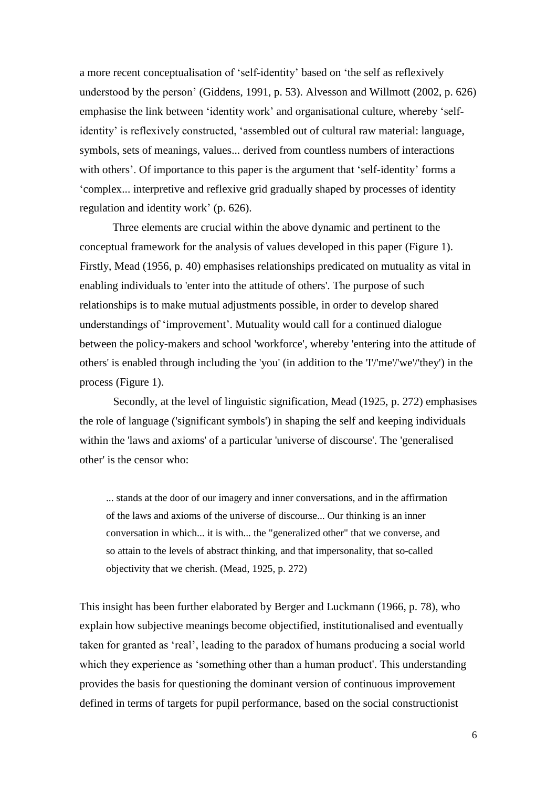a more recent conceptualisation of 'self-identity' based on 'the self as reflexively understood by the person' (Giddens, 1991, p. 53). Alvesson and Willmott (2002, p. 626) emphasise the link between 'identity work' and organisational culture, whereby 'selfidentity' is reflexively constructed, 'assembled out of cultural raw material: language, symbols, sets of meanings, values... derived from countless numbers of interactions with others'. Of importance to this paper is the argument that 'self-identity' forms a 'complex... interpretive and reflexive grid gradually shaped by processes of identity regulation and identity work' (p. 626).

Three elements are crucial within the above dynamic and pertinent to the conceptual framework for the analysis of values developed in this paper (Figure 1). Firstly, Mead (1956, p. 40) emphasises relationships predicated on mutuality as vital in enabling individuals to 'enter into the attitude of others'. The purpose of such relationships is to make mutual adjustments possible, in order to develop shared understandings of 'improvement'. Mutuality would call for a continued dialogue between the policy-makers and school 'workforce', whereby 'entering into the attitude of others' is enabled through including the 'you' (in addition to the 'I'/'me'/'we'/'they') in the process (Figure 1).

Secondly, at the level of linguistic signification, Mead (1925, p. 272) emphasises the role of language ('significant symbols') in shaping the self and keeping individuals within the 'laws and axioms' of a particular 'universe of discourse'. The 'generalised other' is the censor who:

... stands at the door of our imagery and inner conversations, and in the affirmation of the laws and axioms of the universe of discourse... Our thinking is an inner conversation in which... it is with... the "generalized other" that we converse, and so attain to the levels of abstract thinking, and that impersonality, that so-called objectivity that we cherish. (Mead, 1925, p. 272)

This insight has been further elaborated by Berger and Luckmann (1966, p. 78), who explain how subjective meanings become objectified, institutionalised and eventually taken for granted as 'real', leading to the paradox of humans producing a social world which they experience as 'something other than a human product'. This understanding provides the basis for questioning the dominant version of continuous improvement defined in terms of targets for pupil performance, based on the social constructionist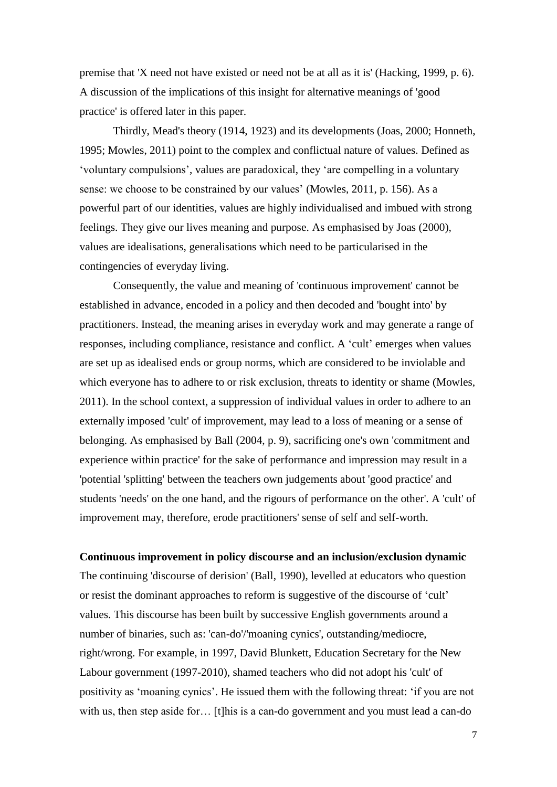premise that 'X need not have existed or need not be at all as it is' (Hacking, 1999, p. 6). A discussion of the implications of this insight for alternative meanings of 'good practice' is offered later in this paper.

Thirdly, Mead's theory (1914, 1923) and its developments (Joas, 2000; Honneth, 1995; Mowles, 2011) point to the complex and conflictual nature of values. Defined as 'voluntary compulsions', values are paradoxical, they 'are compelling in a voluntary sense: we choose to be constrained by our values' (Mowles, 2011, p. 156). As a powerful part of our identities, values are highly individualised and imbued with strong feelings. They give our lives meaning and purpose. As emphasised by Joas (2000), values are idealisations, generalisations which need to be particularised in the contingencies of everyday living.

Consequently, the value and meaning of 'continuous improvement' cannot be established in advance, encoded in a policy and then decoded and 'bought into' by practitioners. Instead, the meaning arises in everyday work and may generate a range of responses, including compliance, resistance and conflict. A 'cult' emerges when values are set up as idealised ends or group norms, which are considered to be inviolable and which everyone has to adhere to or risk exclusion, threats to identity or shame (Mowles, 2011). In the school context, a suppression of individual values in order to adhere to an externally imposed 'cult' of improvement, may lead to a loss of meaning or a sense of belonging. As emphasised by Ball (2004, p. 9), sacrificing one's own 'commitment and experience within practice' for the sake of performance and impression may result in a 'potential 'splitting' between the teachers own judgements about 'good practice' and students 'needs' on the one hand, and the rigours of performance on the other'. A 'cult' of improvement may, therefore, erode practitioners' sense of self and self-worth.

**Continuous improvement in policy discourse and an inclusion/exclusion dynamic**

The continuing 'discourse of derision' (Ball, 1990), levelled at educators who question or resist the dominant approaches to reform is suggestive of the discourse of 'cult' values. This discourse has been built by successive English governments around a number of binaries, such as: 'can-do'/'moaning cynics', outstanding/mediocre, right/wrong. For example, in 1997, David Blunkett, Education Secretary for the New Labour government (1997-2010), shamed teachers who did not adopt his 'cult' of positivity as 'moaning cynics'. He issued them with the following threat: 'if you are not with us, then step aside for... [t]his is a can-do government and you must lead a can-do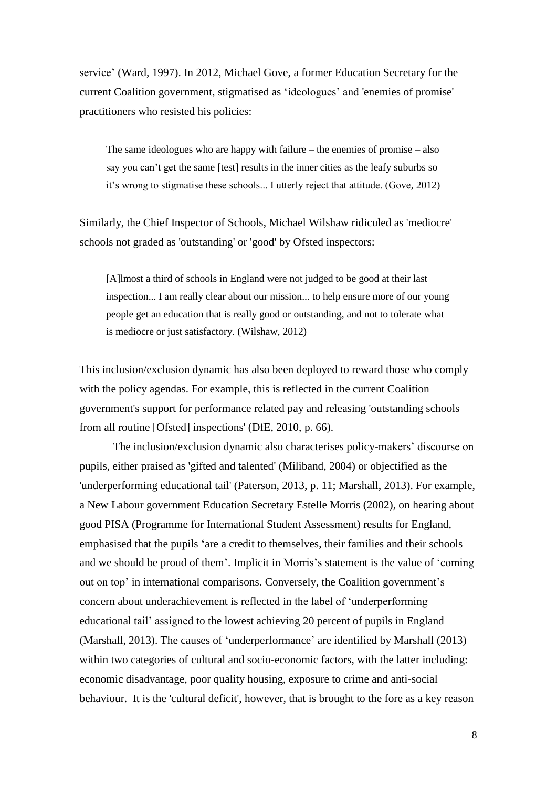service' (Ward, 1997). In 2012, Michael Gove, a former Education Secretary for the current Coalition government, stigmatised as 'ideologues' and 'enemies of promise' practitioners who resisted his policies:

The same ideologues who are happy with failure – the enemies of promise – also say you can't get the same [test] results in the inner cities as the leafy suburbs so it's wrong to stigmatise these schools... I utterly reject that attitude. (Gove, 2012)

Similarly, the Chief Inspector of Schools, Michael Wilshaw ridiculed as 'mediocre' schools not graded as 'outstanding' or 'good' by Ofsted inspectors:

[A]lmost a third of schools in England were not judged to be good at their last inspection... I am really clear about our mission... to help ensure more of our young people get an education that is really good or outstanding, and not to tolerate what is mediocre or just satisfactory. (Wilshaw, 2012)

This inclusion/exclusion dynamic has also been deployed to reward those who comply with the policy agendas. For example, this is reflected in the current Coalition government's support for performance related pay and releasing 'outstanding schools from all routine [Ofsted] inspections' (DfE, 2010, p. 66).

The inclusion/exclusion dynamic also characterises policy-makers' discourse on pupils, either praised as 'gifted and talented' (Miliband, 2004) or objectified as the 'underperforming educational tail' (Paterson, 2013, p. 11; Marshall, 2013). For example, a New Labour government Education Secretary Estelle Morris (2002), on hearing about good PISA (Programme for International Student Assessment) results for England, emphasised that the pupils 'are a credit to themselves, their families and their schools and we should be proud of them'. Implicit in Morris's statement is the value of 'coming out on top' in international comparisons. Conversely, the Coalition government's concern about underachievement is reflected in the label of 'underperforming educational tail' assigned to the lowest achieving 20 percent of pupils in England (Marshall, 2013). The causes of 'underperformance' are identified by Marshall (2013) within two categories of cultural and socio-economic factors, with the latter including: economic disadvantage, poor quality housing, exposure to crime and anti-social behaviour. It is the 'cultural deficit', however, that is brought to the fore as a key reason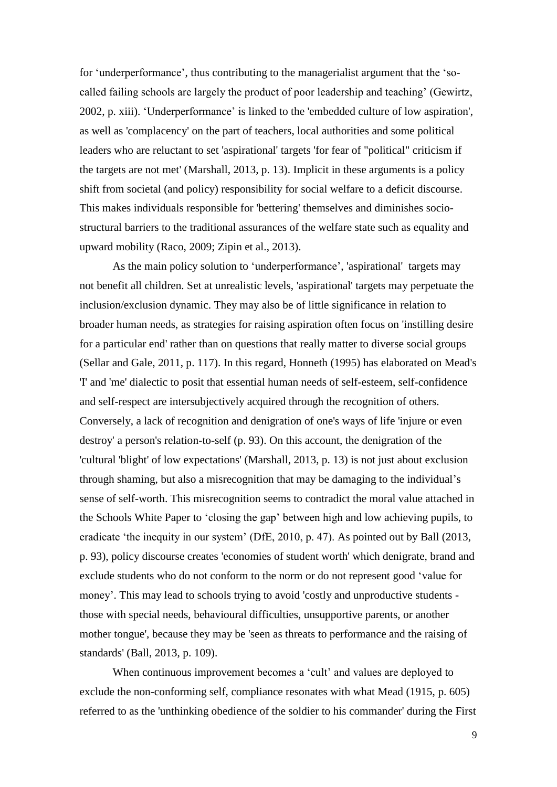for 'underperformance', thus contributing to the managerialist argument that the 'socalled failing schools are largely the product of poor leadership and teaching' (Gewirtz, 2002, p. xiii). 'Underperformance' is linked to the 'embedded culture of low aspiration', as well as 'complacency' on the part of teachers, local authorities and some political leaders who are reluctant to set 'aspirational' targets 'for fear of "political" criticism if the targets are not met' (Marshall, 2013, p. 13). Implicit in these arguments is a policy shift from societal (and policy) responsibility for social welfare to a deficit discourse. This makes individuals responsible for 'bettering' themselves and diminishes sociostructural barriers to the traditional assurances of the welfare state such as equality and upward mobility (Raco, 2009; Zipin et al., 2013).

As the main policy solution to 'underperformance', 'aspirational' targets may not benefit all children. Set at unrealistic levels, 'aspirational' targets may perpetuate the inclusion/exclusion dynamic. They may also be of little significance in relation to broader human needs, as strategies for raising aspiration often focus on 'instilling desire for a particular end' rather than on questions that really matter to diverse social groups (Sellar and Gale, 2011, p. 117). In this regard, Honneth (1995) has elaborated on Mead's 'I' and 'me' dialectic to posit that essential human needs of self-esteem, self-confidence and self-respect are intersubjectively acquired through the recognition of others. Conversely, a lack of recognition and denigration of one's ways of life 'injure or even destroy' a person's relation-to-self (p. 93). On this account, the denigration of the 'cultural 'blight' of low expectations' (Marshall, 2013, p. 13) is not just about exclusion through shaming, but also a misrecognition that may be damaging to the individual's sense of self-worth. This misrecognition seems to contradict the moral value attached in the Schools White Paper to 'closing the gap' between high and low achieving pupils, to eradicate 'the inequity in our system' (DfE, 2010, p. 47). As pointed out by Ball (2013, p. 93), policy discourse creates 'economies of student worth' which denigrate, brand and exclude students who do not conform to the norm or do not represent good 'value for money'. This may lead to schools trying to avoid 'costly and unproductive students those with special needs, behavioural difficulties, unsupportive parents, or another mother tongue', because they may be 'seen as threats to performance and the raising of standards' (Ball, 2013, p. 109).

When continuous improvement becomes a 'cult' and values are deployed to exclude the non-conforming self, compliance resonates with what Mead (1915, p. 605) referred to as the 'unthinking obedience of the soldier to his commander' during the First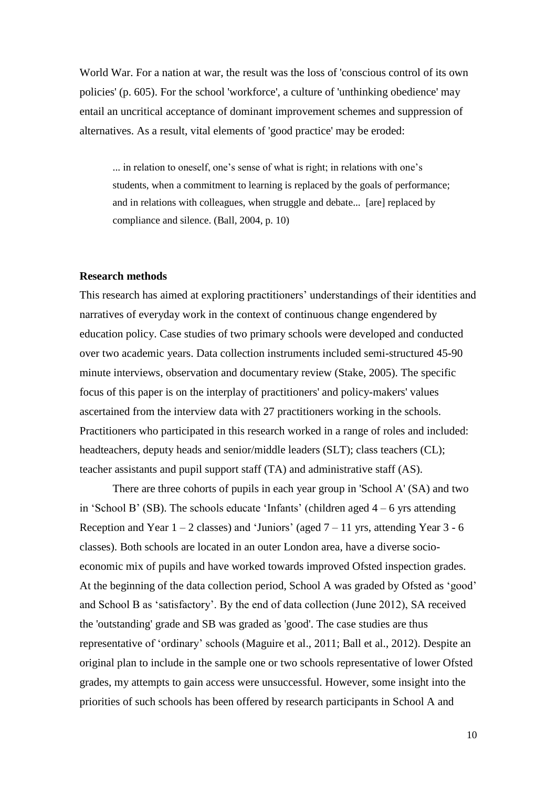World War. For a nation at war, the result was the loss of 'conscious control of its own policies' (p. 605). For the school 'workforce', a culture of 'unthinking obedience' may entail an uncritical acceptance of dominant improvement schemes and suppression of alternatives. As a result, vital elements of 'good practice' may be eroded:

... in relation to oneself, one's sense of what is right; in relations with one's students, when a commitment to learning is replaced by the goals of performance; and in relations with colleagues, when struggle and debate... [are] replaced by compliance and silence. (Ball, 2004, p. 10)

### **Research methods**

This research has aimed at exploring practitioners' understandings of their identities and narratives of everyday work in the context of continuous change engendered by education policy. Case studies of two primary schools were developed and conducted over two academic years. Data collection instruments included semi-structured 45-90 minute interviews, observation and documentary review (Stake, 2005). The specific focus of this paper is on the interplay of practitioners' and policy-makers' values ascertained from the interview data with 27 practitioners working in the schools. Practitioners who participated in this research worked in a range of roles and included: headteachers, deputy heads and senior/middle leaders (SLT); class teachers (CL); teacher assistants and pupil support staff (TA) and administrative staff (AS).

There are three cohorts of pupils in each year group in 'School A' (SA) and two in 'School B' (SB). The schools educate 'Infants' (children aged 4 – 6 yrs attending Reception and Year  $1 - 2$  classes) and 'Juniors' (aged  $7 - 11$  yrs, attending Year  $3 - 6$ classes). Both schools are located in an outer London area, have a diverse socioeconomic mix of pupils and have worked towards improved Ofsted inspection grades. At the beginning of the data collection period, School A was graded by Ofsted as 'good' and School B as 'satisfactory'. By the end of data collection (June 2012), SA received the 'outstanding' grade and SB was graded as 'good'. The case studies are thus representative of 'ordinary' schools (Maguire et al., 2011; Ball et al., 2012). Despite an original plan to include in the sample one or two schools representative of lower Ofsted grades, my attempts to gain access were unsuccessful. However, some insight into the priorities of such schools has been offered by research participants in School A and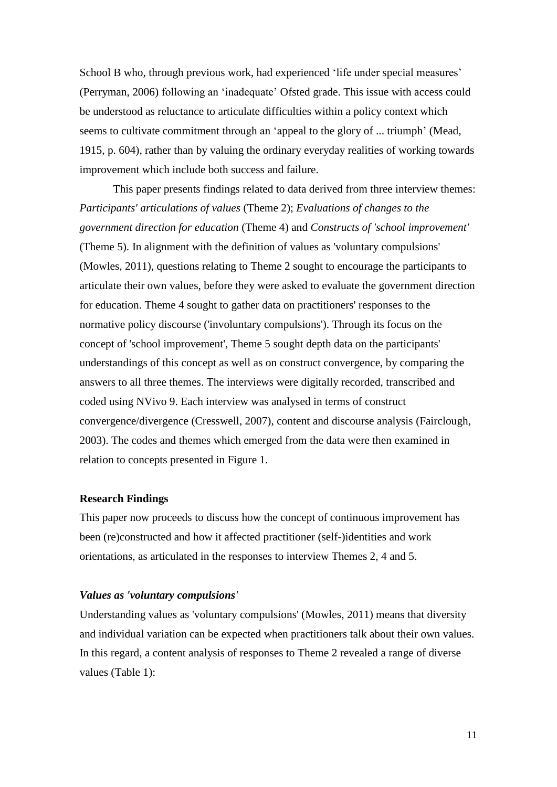School B who, through previous work, had experienced 'life under special measures' (Perryman, 2006) following an 'inadequate' Ofsted grade. This issue with access could be understood as reluctance to articulate difficulties within a policy context which seems to cultivate commitment through an 'appeal to the glory of ... triumph' (Mead, 1915, p. 604), rather than by valuing the ordinary everyday realities of working towards improvement which include both success and failure.

This paper presents findings related to data derived from three interview themes: *Participants' articulations of values* (Theme 2); *Evaluations of changes to the government direction for education* (Theme 4) and *Constructs of 'school improvement'*  (Theme 5). In alignment with the definition of values as 'voluntary compulsions' (Mowles, 2011), questions relating to Theme 2 sought to encourage the participants to articulate their own values, before they were asked to evaluate the government direction for education. Theme 4 sought to gather data on practitioners' responses to the normative policy discourse ('involuntary compulsions'). Through its focus on the concept of 'school improvement', Theme 5 sought depth data on the participants' understandings of this concept as well as on construct convergence, by comparing the answers to all three themes. The interviews were digitally recorded, transcribed and coded using NVivo 9. Each interview was analysed in terms of construct convergence/divergence (Cresswell, 2007), content and discourse analysis (Fairclough, 2003). The codes and themes which emerged from the data were then examined in relation to concepts presented in Figure 1.

## **Research Findings**

This paper now proceeds to discuss how the concept of continuous improvement has been (re)constructed and how it affected practitioner (self-)identities and work orientations, as articulated in the responses to interview Themes 2, 4 and 5.

#### *Values as 'voluntary compulsions'*

Understanding values as 'voluntary compulsions' (Mowles, 2011) means that diversity and individual variation can be expected when practitioners talk about their own values. In this regard, a content analysis of responses to Theme 2 revealed a range of diverse values (Table 1):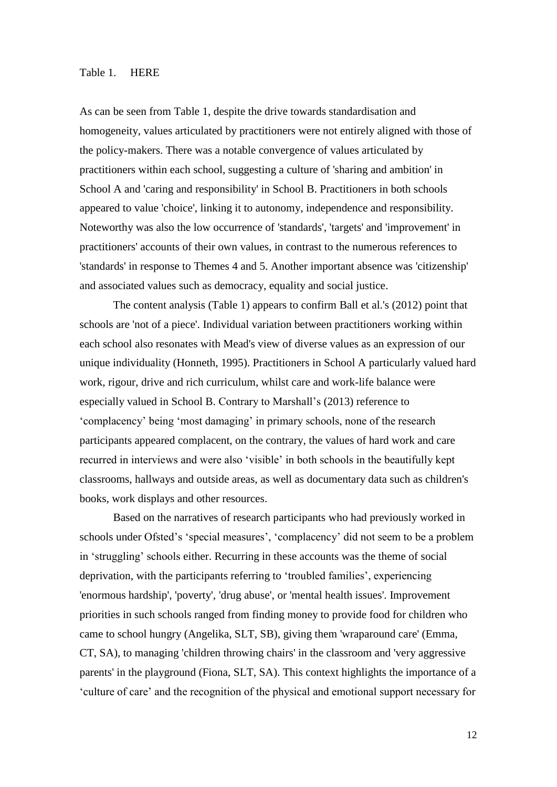## Table 1. HERE

As can be seen from Table 1, despite the drive towards standardisation and homogeneity, values articulated by practitioners were not entirely aligned with those of the policy-makers. There was a notable convergence of values articulated by practitioners within each school, suggesting a culture of 'sharing and ambition' in School A and 'caring and responsibility' in School B. Practitioners in both schools appeared to value 'choice', linking it to autonomy, independence and responsibility. Noteworthy was also the low occurrence of 'standards', 'targets' and 'improvement' in practitioners' accounts of their own values, in contrast to the numerous references to 'standards' in response to Themes 4 and 5. Another important absence was 'citizenship' and associated values such as democracy, equality and social justice.

The content analysis (Table 1) appears to confirm Ball et al.'s (2012) point that schools are 'not of a piece'. Individual variation between practitioners working within each school also resonates with Mead's view of diverse values as an expression of our unique individuality (Honneth, 1995). Practitioners in School A particularly valued hard work, rigour, drive and rich curriculum, whilst care and work-life balance were especially valued in School B. Contrary to Marshall's (2013) reference to 'complacency' being 'most damaging' in primary schools, none of the research participants appeared complacent, on the contrary, the values of hard work and care recurred in interviews and were also 'visible' in both schools in the beautifully kept classrooms, hallways and outside areas, as well as documentary data such as children's books, work displays and other resources.

Based on the narratives of research participants who had previously worked in schools under Ofsted's 'special measures', 'complacency' did not seem to be a problem in 'struggling' schools either. Recurring in these accounts was the theme of social deprivation, with the participants referring to 'troubled families', experiencing 'enormous hardship', 'poverty', 'drug abuse', or 'mental health issues'. Improvement priorities in such schools ranged from finding money to provide food for children who came to school hungry (Angelika, SLT, SB), giving them 'wraparound care' (Emma, CT, SA), to managing 'children throwing chairs' in the classroom and 'very aggressive parents' in the playground (Fiona, SLT, SA). This context highlights the importance of a 'culture of care' and the recognition of the physical and emotional support necessary for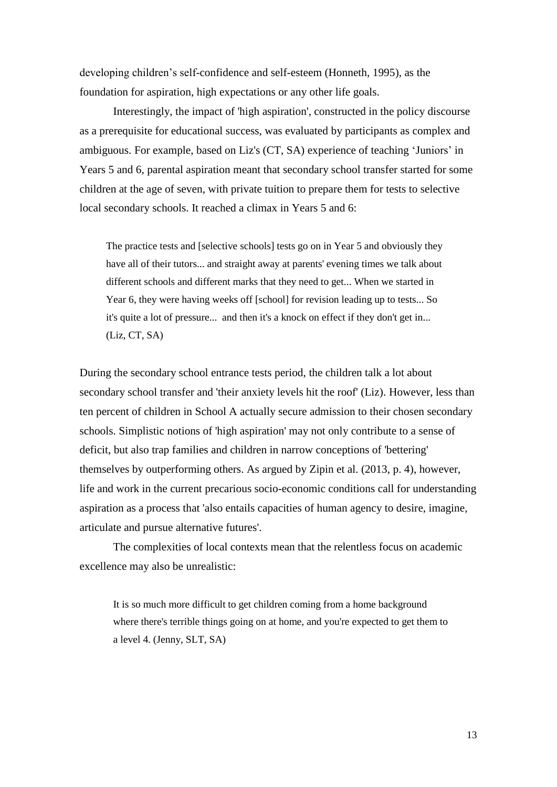developing children's self-confidence and self-esteem (Honneth, 1995), as the foundation for aspiration, high expectations or any other life goals.

Interestingly, the impact of 'high aspiration', constructed in the policy discourse as a prerequisite for educational success, was evaluated by participants as complex and ambiguous. For example, based on Liz's (CT, SA) experience of teaching 'Juniors' in Years 5 and 6, parental aspiration meant that secondary school transfer started for some children at the age of seven, with private tuition to prepare them for tests to selective local secondary schools. It reached a climax in Years 5 and 6:

The practice tests and [selective schools] tests go on in Year 5 and obviously they have all of their tutors... and straight away at parents' evening times we talk about different schools and different marks that they need to get... When we started in Year 6, they were having weeks off [school] for revision leading up to tests... So it's quite a lot of pressure... and then it's a knock on effect if they don't get in... (Liz, CT, SA)

During the secondary school entrance tests period, the children talk a lot about secondary school transfer and 'their anxiety levels hit the roof' (Liz). However, less than ten percent of children in School A actually secure admission to their chosen secondary schools. Simplistic notions of 'high aspiration' may not only contribute to a sense of deficit, but also trap families and children in narrow conceptions of 'bettering' themselves by outperforming others. As argued by Zipin et al. (2013, p. 4), however, life and work in the current precarious socio-economic conditions call for understanding aspiration as a process that 'also entails capacities of human agency to desire, imagine, articulate and pursue alternative futures'.

The complexities of local contexts mean that the relentless focus on academic excellence may also be unrealistic:

It is so much more difficult to get children coming from a home background where there's terrible things going on at home, and you're expected to get them to a level 4. (Jenny, SLT, SA)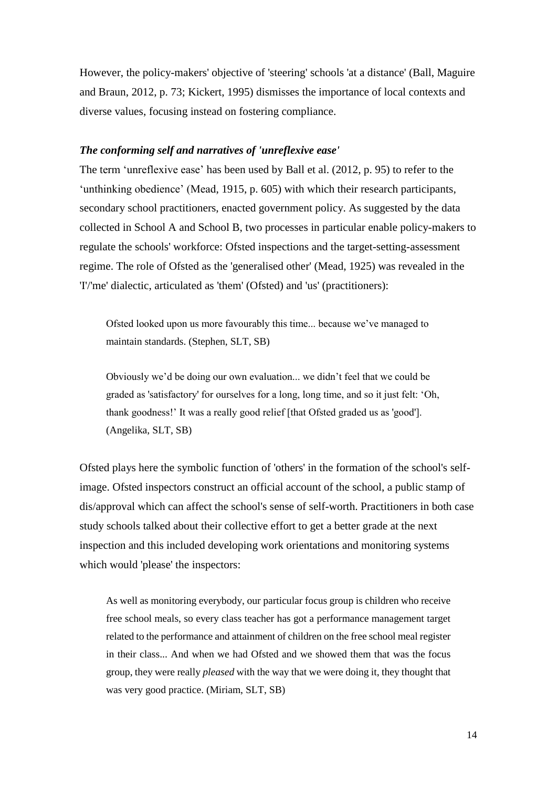However, the policy-makers' objective of 'steering' schools 'at a distance' (Ball, Maguire and Braun, 2012, p. 73; Kickert, 1995) dismisses the importance of local contexts and diverse values, focusing instead on fostering compliance.

# *The conforming self and narratives of 'unreflexive ease'*

The term 'unreflexive ease' has been used by Ball et al. (2012, p. 95) to refer to the 'unthinking obedience' (Mead, 1915, p. 605) with which their research participants, secondary school practitioners, enacted government policy. As suggested by the data collected in School A and School B, two processes in particular enable policy-makers to regulate the schools' workforce: Ofsted inspections and the target-setting-assessment regime. The role of Ofsted as the 'generalised other' (Mead, 1925) was revealed in the 'I'/'me' dialectic, articulated as 'them' (Ofsted) and 'us' (practitioners):

Ofsted looked upon us more favourably this time... because we've managed to maintain standards. (Stephen, SLT, SB)

Obviously we'd be doing our own evaluation... we didn't feel that we could be graded as 'satisfactory' for ourselves for a long, long time, and so it just felt: 'Oh, thank goodness!' It was a really good relief [that Ofsted graded us as 'good']. (Angelika, SLT, SB)

Ofsted plays here the symbolic function of 'others' in the formation of the school's selfimage. Ofsted inspectors construct an official account of the school, a public stamp of dis/approval which can affect the school's sense of self-worth. Practitioners in both case study schools talked about their collective effort to get a better grade at the next inspection and this included developing work orientations and monitoring systems which would 'please' the inspectors:

As well as monitoring everybody, our particular focus group is children who receive free school meals, so every class teacher has got a performance management target related to the performance and attainment of children on the free school meal register in their class... And when we had Ofsted and we showed them that was the focus group, they were really *pleased* with the way that we were doing it, they thought that was very good practice. (Miriam, SLT, SB)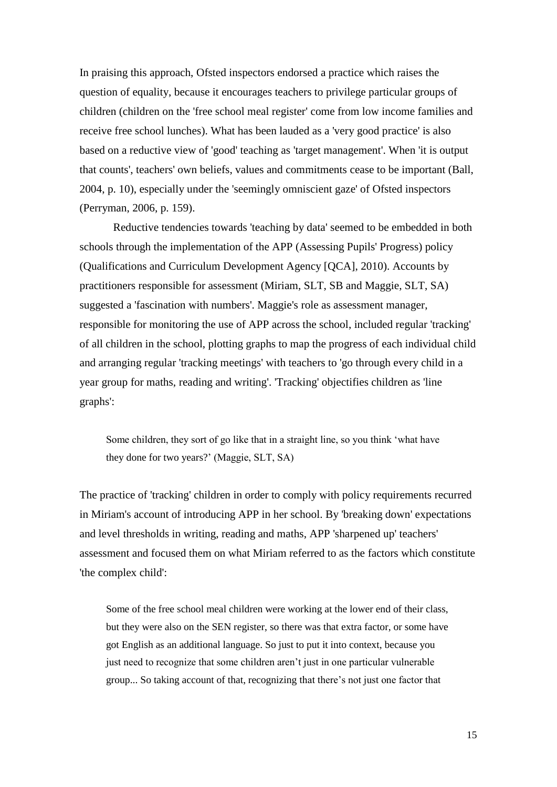In praising this approach, Ofsted inspectors endorsed a practice which raises the question of equality, because it encourages teachers to privilege particular groups of children (children on the 'free school meal register' come from low income families and receive free school lunches). What has been lauded as a 'very good practice' is also based on a reductive view of 'good' teaching as 'target management'. When 'it is output that counts', teachers' own beliefs, values and commitments cease to be important (Ball, 2004, p. 10), especially under the 'seemingly omniscient gaze' of Ofsted inspectors (Perryman, 2006, p. 159).

Reductive tendencies towards 'teaching by data' seemed to be embedded in both schools through the implementation of the APP (Assessing Pupils' Progress) policy (Qualifications and Curriculum Development Agency [QCA], 2010). Accounts by practitioners responsible for assessment (Miriam, SLT, SB and Maggie, SLT, SA) suggested a 'fascination with numbers'. Maggie's role as assessment manager, responsible for monitoring the use of APP across the school, included regular 'tracking' of all children in the school, plotting graphs to map the progress of each individual child and arranging regular 'tracking meetings' with teachers to 'go through every child in a year group for maths, reading and writing'. 'Tracking' objectifies children as 'line graphs':

Some children, they sort of go like that in a straight line, so you think 'what have they done for two years?' (Maggie, SLT, SA)

The practice of 'tracking' children in order to comply with policy requirements recurred in Miriam's account of introducing APP in her school. By 'breaking down' expectations and level thresholds in writing, reading and maths, APP 'sharpened up' teachers' assessment and focused them on what Miriam referred to as the factors which constitute 'the complex child':

Some of the free school meal children were working at the lower end of their class, but they were also on the SEN register, so there was that extra factor, or some have got English as an additional language. So just to put it into context, because you just need to recognize that some children aren't just in one particular vulnerable group... So taking account of that, recognizing that there's not just one factor that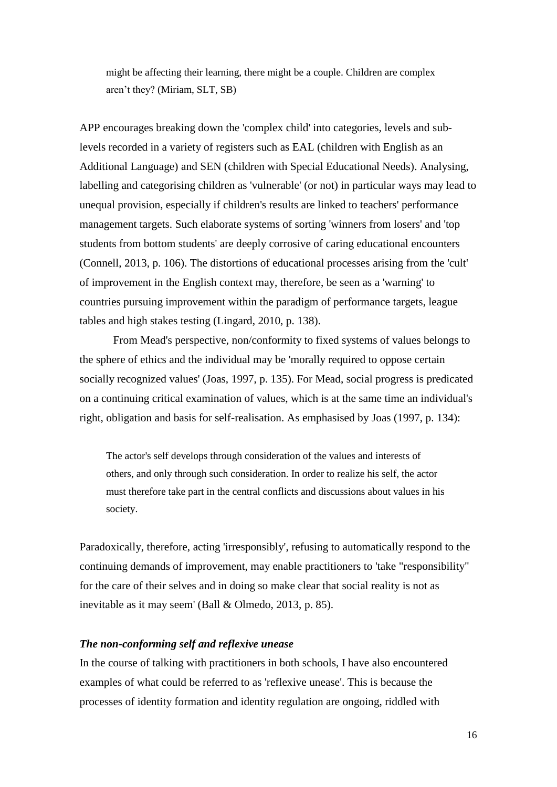might be affecting their learning, there might be a couple. Children are complex aren't they? (Miriam, SLT, SB)

APP encourages breaking down the 'complex child' into categories, levels and sublevels recorded in a variety of registers such as EAL (children with English as an Additional Language) and SEN (children with Special Educational Needs). Analysing, labelling and categorising children as 'vulnerable' (or not) in particular ways may lead to unequal provision, especially if children's results are linked to teachers' performance management targets. Such elaborate systems of sorting 'winners from losers' and 'top students from bottom students' are deeply corrosive of caring educational encounters (Connell, 2013, p. 106). The distortions of educational processes arising from the 'cult' of improvement in the English context may, therefore, be seen as a 'warning' to countries pursuing improvement within the paradigm of performance targets, league tables and high stakes testing (Lingard, 2010, p. 138).

From Mead's perspective, non/conformity to fixed systems of values belongs to the sphere of ethics and the individual may be 'morally required to oppose certain socially recognized values' (Joas, 1997, p. 135). For Mead, social progress is predicated on a continuing critical examination of values, which is at the same time an individual's right, obligation and basis for self-realisation. As emphasised by Joas (1997, p. 134):

The actor's self develops through consideration of the values and interests of others, and only through such consideration. In order to realize his self, the actor must therefore take part in the central conflicts and discussions about values in his society.

Paradoxically, therefore, acting 'irresponsibly', refusing to automatically respond to the continuing demands of improvement, may enable practitioners to 'take "responsibility" for the care of their selves and in doing so make clear that social reality is not as inevitable as it may seem' (Ball & Olmedo, 2013, p. 85).

# *The non-conforming self and reflexive unease*

In the course of talking with practitioners in both schools, I have also encountered examples of what could be referred to as 'reflexive unease'. This is because the processes of identity formation and identity regulation are ongoing, riddled with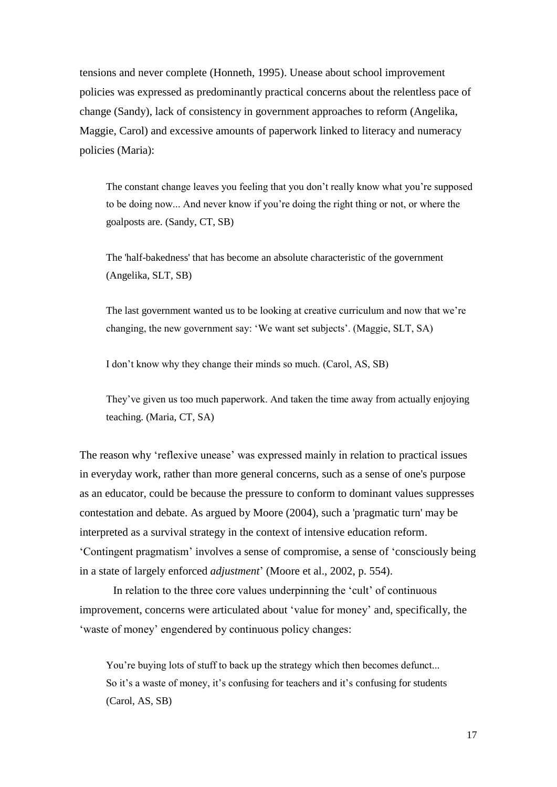tensions and never complete (Honneth, 1995). Unease about school improvement policies was expressed as predominantly practical concerns about the relentless pace of change (Sandy), lack of consistency in government approaches to reform (Angelika, Maggie, Carol) and excessive amounts of paperwork linked to literacy and numeracy policies (Maria):

The constant change leaves you feeling that you don't really know what you're supposed to be doing now... And never know if you're doing the right thing or not, or where the goalposts are. (Sandy, CT, SB)

The 'half-bakedness' that has become an absolute characteristic of the government (Angelika, SLT, SB)

The last government wanted us to be looking at creative curriculum and now that we're changing, the new government say: 'We want set subjects'. (Maggie, SLT, SA)

I don't know why they change their minds so much. (Carol, AS, SB)

They've given us too much paperwork. And taken the time away from actually enjoying teaching. (Maria, CT, SA)

The reason why 'reflexive unease' was expressed mainly in relation to practical issues in everyday work, rather than more general concerns, such as a sense of one's purpose as an educator, could be because the pressure to conform to dominant values suppresses contestation and debate. As argued by Moore (2004), such a 'pragmatic turn' may be interpreted as a survival strategy in the context of intensive education reform. 'Contingent pragmatism' involves a sense of compromise, a sense of 'consciously being in a state of largely enforced *adjustment*' (Moore et al., 2002, p. 554).

In relation to the three core values underpinning the 'cult' of continuous improvement, concerns were articulated about 'value for money' and, specifically, the 'waste of money' engendered by continuous policy changes:

You're buying lots of stuff to back up the strategy which then becomes defunct... So it's a waste of money, it's confusing for teachers and it's confusing for students (Carol, AS, SB)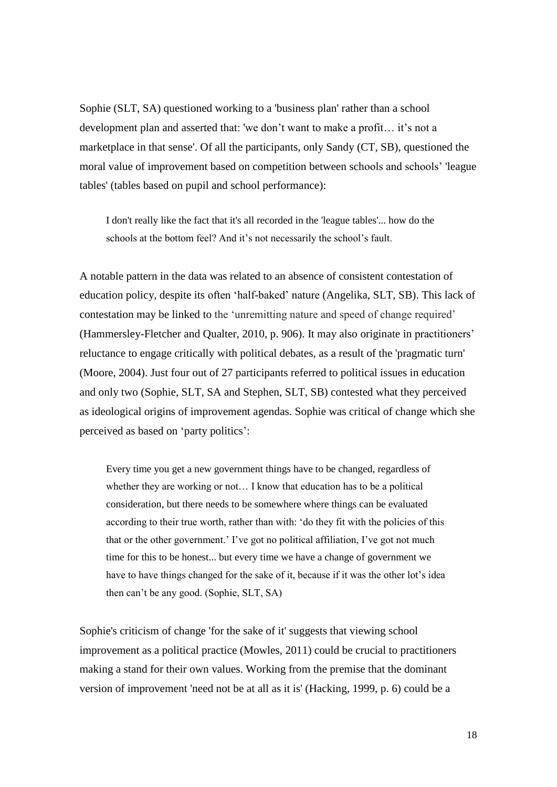Sophie (SLT, SA) questioned working to a 'business plan' rather than a school development plan and asserted that: 'we don't want to make a profit… it's not a marketplace in that sense'. Of all the participants, only Sandy (CT, SB), questioned the moral value of improvement based on competition between schools and schools' 'league tables' (tables based on pupil and school performance):

I don't really like the fact that it's all recorded in the 'league tables'... how do the schools at the bottom feel? And it's not necessarily the school's fault.

A notable pattern in the data was related to an absence of consistent contestation of education policy, despite its often 'half-baked' nature (Angelika, SLT, SB). This lack of contestation may be linked to the 'unremitting nature and speed of change required' (Hammersley-Fletcher and Qualter, 2010, p. 906). It may also originate in practitioners' reluctance to engage critically with political debates, as a result of the 'pragmatic turn' (Moore, 2004). Just four out of 27 participants referred to political issues in education and only two (Sophie, SLT, SA and Stephen, SLT, SB) contested what they perceived as ideological origins of improvement agendas. Sophie was critical of change which she perceived as based on 'party politics':

Every time you get a new government things have to be changed, regardless of whether they are working or not... I know that education has to be a political consideration, but there needs to be somewhere where things can be evaluated according to their true worth, rather than with: 'do they fit with the policies of this that or the other government.' I've got no political affiliation, I've got not much time for this to be honest... but every time we have a change of government we have to have things changed for the sake of it, because if it was the other lot's idea then can't be any good. (Sophie, SLT, SA)

Sophie's criticism of change 'for the sake of it' suggests that viewing school improvement as a political practice (Mowles, 2011) could be crucial to practitioners making a stand for their own values. Working from the premise that the dominant version of improvement 'need not be at all as it is' (Hacking, 1999, p. 6) could be a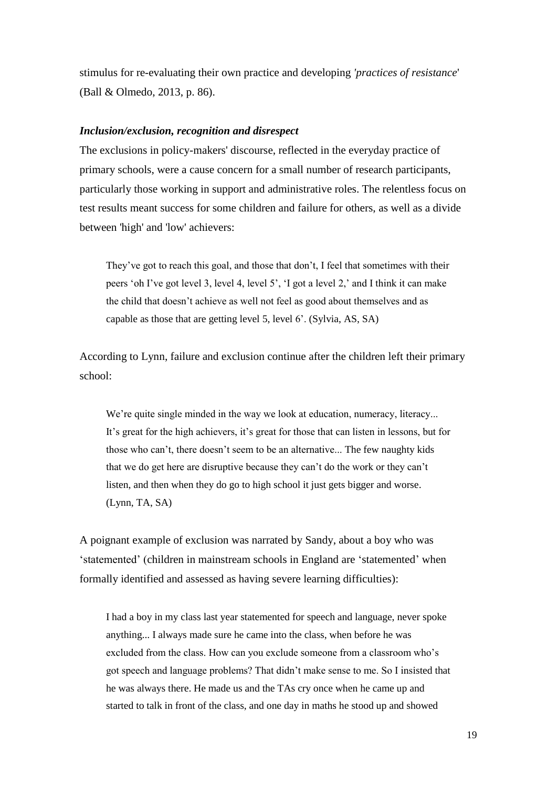stimulus for re-evaluating their own practice and developing *'practices of resistance*' (Ball & Olmedo, 2013, p. 86).

## *Inclusion/exclusion, recognition and disrespect*

The exclusions in policy-makers' discourse, reflected in the everyday practice of primary schools, were a cause concern for a small number of research participants, particularly those working in support and administrative roles. The relentless focus on test results meant success for some children and failure for others, as well as a divide between 'high' and 'low' achievers:

They've got to reach this goal, and those that don't, I feel that sometimes with their peers 'oh I've got level 3, level 4, level 5', 'I got a level 2,' and I think it can make the child that doesn't achieve as well not feel as good about themselves and as capable as those that are getting level 5, level 6'. (Sylvia, AS, SA)

According to Lynn, failure and exclusion continue after the children left their primary school:

We're quite single minded in the way we look at education, numeracy, literacy... It's great for the high achievers, it's great for those that can listen in lessons, but for those who can't, there doesn't seem to be an alternative... The few naughty kids that we do get here are disruptive because they can't do the work or they can't listen, and then when they do go to high school it just gets bigger and worse. (Lynn, TA, SA)

A poignant example of exclusion was narrated by Sandy, about a boy who was 'statemented' (children in mainstream schools in England are 'statemented' when formally identified and assessed as having severe learning difficulties):

I had a boy in my class last year statemented for speech and language, never spoke anything... I always made sure he came into the class, when before he was excluded from the class. How can you exclude someone from a classroom who's got speech and language problems? That didn't make sense to me. So I insisted that he was always there. He made us and the TAs cry once when he came up and started to talk in front of the class, and one day in maths he stood up and showed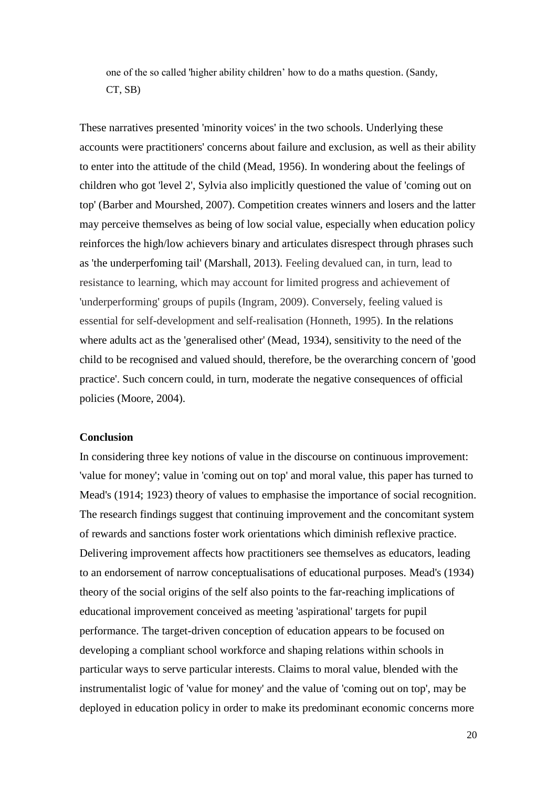one of the so called 'higher ability children' how to do a maths question. (Sandy, CT, SB)

These narratives presented 'minority voices' in the two schools. Underlying these accounts were practitioners' concerns about failure and exclusion, as well as their ability to enter into the attitude of the child (Mead, 1956). In wondering about the feelings of children who got 'level 2', Sylvia also implicitly questioned the value of 'coming out on top' (Barber and Mourshed, 2007). Competition creates winners and losers and the latter may perceive themselves as being of low social value, especially when education policy reinforces the high/low achievers binary and articulates disrespect through phrases such as 'the underperfoming tail' (Marshall, 2013). Feeling devalued can, in turn, lead to resistance to learning, which may account for limited progress and achievement of 'underperforming' groups of pupils (Ingram, 2009). Conversely, feeling valued is essential for self-development and self-realisation (Honneth, 1995). In the relations where adults act as the 'generalised other' (Mead, 1934), sensitivity to the need of the child to be recognised and valued should, therefore, be the overarching concern of 'good practice'. Such concern could, in turn, moderate the negative consequences of official policies (Moore, 2004).

### **Conclusion**

In considering three key notions of value in the discourse on continuous improvement: 'value for money'; value in 'coming out on top' and moral value, this paper has turned to Mead's (1914; 1923) theory of values to emphasise the importance of social recognition. The research findings suggest that continuing improvement and the concomitant system of rewards and sanctions foster work orientations which diminish reflexive practice. Delivering improvement affects how practitioners see themselves as educators, leading to an endorsement of narrow conceptualisations of educational purposes. Mead's (1934) theory of the social origins of the self also points to the far-reaching implications of educational improvement conceived as meeting 'aspirational' targets for pupil performance. The target-driven conception of education appears to be focused on developing a compliant school workforce and shaping relations within schools in particular ways to serve particular interests. Claims to moral value, blended with the instrumentalist logic of 'value for money' and the value of 'coming out on top', may be deployed in education policy in order to make its predominant economic concerns more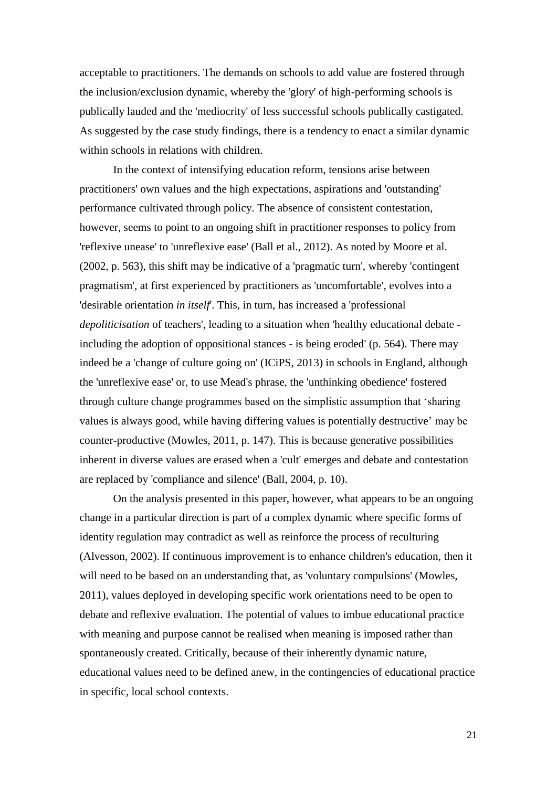acceptable to practitioners. The demands on schools to add value are fostered through the inclusion/exclusion dynamic, whereby the 'glory' of high-performing schools is publically lauded and the 'mediocrity' of less successful schools publically castigated. As suggested by the case study findings, there is a tendency to enact a similar dynamic within schools in relations with children.

In the context of intensifying education reform, tensions arise between practitioners' own values and the high expectations, aspirations and 'outstanding' performance cultivated through policy. The absence of consistent contestation, however, seems to point to an ongoing shift in practitioner responses to policy from 'reflexive unease' to 'unreflexive ease' (Ball et al., 2012). As noted by Moore et al. (2002, p. 563), this shift may be indicative of a 'pragmatic turn', whereby 'contingent pragmatism', at first experienced by practitioners as 'uncomfortable', evolves into a 'desirable orientation *in itself*'. This, in turn, has increased a 'professional *depoliticisation* of teachers', leading to a situation when 'healthy educational debate including the adoption of oppositional stances - is being eroded' (p. 564). There may indeed be a 'change of culture going on' (ICiPS, 2013) in schools in England, although the 'unreflexive ease' or, to use Mead's phrase, the 'unthinking obedience' fostered through culture change programmes based on the simplistic assumption that 'sharing values is always good, while having differing values is potentially destructive' may be counter-productive (Mowles, 2011, p. 147). This is because generative possibilities inherent in diverse values are erased when a 'cult' emerges and debate and contestation are replaced by 'compliance and silence' (Ball, 2004, p. 10).

On the analysis presented in this paper, however, what appears to be an ongoing change in a particular direction is part of a complex dynamic where specific forms of identity regulation may contradict as well as reinforce the process of reculturing (Alvesson, 2002). If continuous improvement is to enhance children's education, then it will need to be based on an understanding that, as 'voluntary compulsions' (Mowles, 2011), values deployed in developing specific work orientations need to be open to debate and reflexive evaluation. The potential of values to imbue educational practice with meaning and purpose cannot be realised when meaning is imposed rather than spontaneously created. Critically, because of their inherently dynamic nature, educational values need to be defined anew, in the contingencies of educational practice in specific, local school contexts.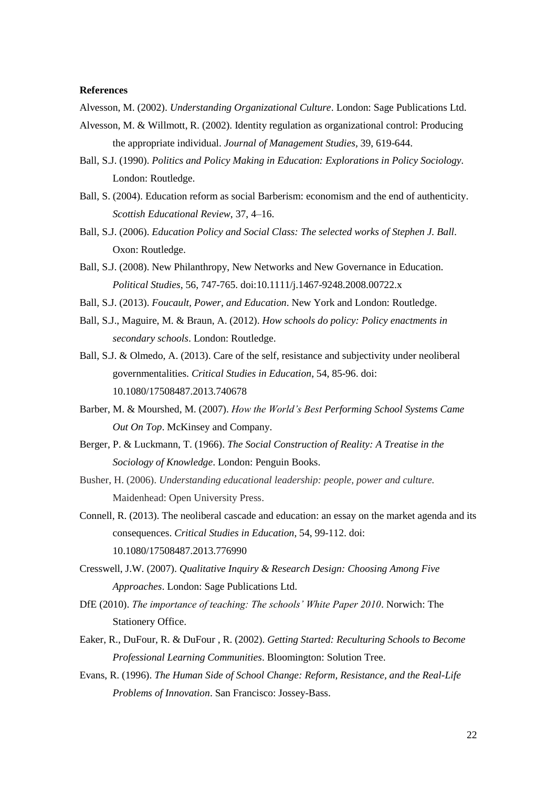#### **References**

Alvesson, M. (2002). *Understanding Organizational Culture*. London: Sage Publications Ltd.

- Alvesson, M. & Willmott, R. (2002). Identity regulation as organizational control: Producing the appropriate individual. *Journal of Management Studies,* 39, 619-644.
- Ball, S.J. (1990). *Politics and Policy Making in Education: Explorations in Policy Sociology.* London: Routledge.
- Ball, S. (2004). Education reform as social Barberism: economism and the end of authenticity. *Scottish Educational Review*, 37, 4–16.
- Ball, S.J. (2006). *Education Policy and Social Class: The selected works of Stephen J. Ball.* Oxon: Routledge.
- Ball, S.J. (2008). New Philanthropy, New Networks and New Governance in Education. *Political Studies*, 56, 747-765. doi:10.1111/j.1467-9248.2008.00722.x
- Ball, S.J. (2013). *Foucault, Power, and Education*. New York and London: Routledge.
- Ball, S.J., Maguire, M. & Braun, A. (2012). *How schools do policy: Policy enactments in secondary schools*. London: Routledge.
- Ball, S.J. & Olmedo, A. (2013). Care of the self, resistance and subjectivity under neoliberal governmentalities. *Critical Studies in Education*, 54, 85-96. doi: 10.1080/17508487.2013.740678
- Barber, M. & Mourshed, M. (2007). *How the World's Best Performing School Systems Came Out On Top*. McKinsey and Company.
- Berger, P. & Luckmann, T. (1966). *The Social Construction of Reality: A Treatise in the Sociology of Knowledge*. London: Penguin Books.
- Busher, H. (2006). *Understanding educational leadership: people, power and culture.*  Maidenhead: Open University Press.
- Connell, R. (2013). The neoliberal cascade and education: an essay on the market agenda and its consequences. *Critical Studies in Education*, 54, 99-112. doi: 10.1080/17508487.2013.776990
- Cresswell, J.W. (2007). *Qualitative Inquiry & Research Design: Choosing Among Five Approaches*. London: Sage Publications Ltd.
- DfE (2010). *The importance of teaching: The schools' White Paper 2010*. Norwich: The Stationery Office.
- Eaker, R., DuFour, R. & DuFour , R. (2002). *Getting Started: Reculturing Schools to Become Professional Learning Communities*. Bloomington: Solution Tree.
- Evans, R. (1996). *The Human Side of School Change: Reform, Resistance, and the Real-Life Problems of Innovation*. San Francisco: Jossey-Bass.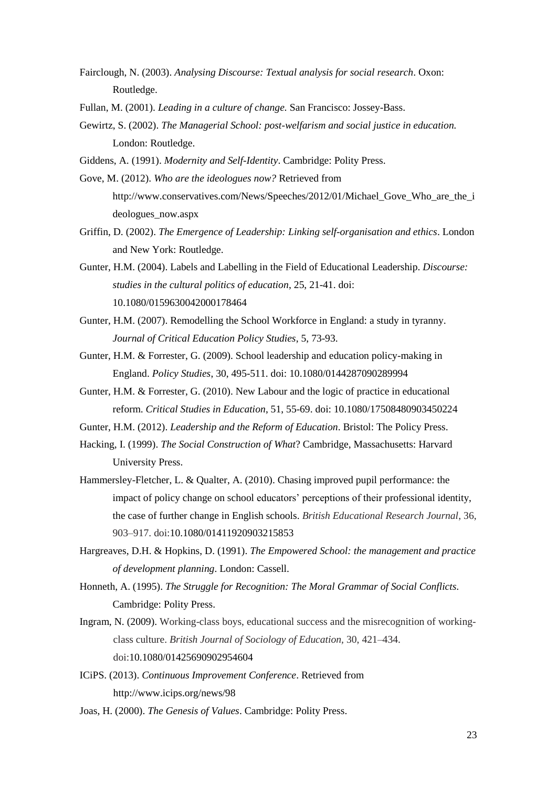- Fairclough, N. (2003). *Analysing Discourse: Textual analysis for social research*. Oxon: Routledge.
- Fullan, M. (2001). *Leading in a culture of change.* San Francisco: Jossey-Bass.
- Gewirtz, S. (2002). *The Managerial School: post-welfarism and social justice in education.* London: Routledge.
- Giddens, A. (1991). *Modernity and Self-Identity*. Cambridge: Polity Press.
- Gove, M. (2012). *Who are the ideologues now?* Retrieved from [http://www.conservatives.com/News/Speeches/2012/01/Michael\\_Gove\\_Who\\_are\\_the\\_i](http://www.conservatives.com/News/Speeches/2012/01/Michael_Gove_Who_are_the_ideologues_now.aspx) [deologues\\_now.aspx](http://www.conservatives.com/News/Speeches/2012/01/Michael_Gove_Who_are_the_ideologues_now.aspx)
- Griffin, D. (2002). *The Emergence of Leadership: Linking self-organisation and ethics*. London and New York: Routledge.
- Gunter, H.M. (2004). Labels and Labelling in the Field of Educational Leadership. *Discourse: studies in the cultural politics of education*, 25, 21-41. doi: 10.1080/0159630042000178464
- Gunter, H.M. (2007). Remodelling the School Workforce in England: a study in tyranny. *Journal of Critical Education Policy Studies*, 5, 73-93.
- Gunter, H.M. & Forrester, G. (2009). School leadership and education policy-making in England. *Policy Studies*, 30, 495-511. doi: 10.1080/0144287090289994
- Gunter, H.M. & Forrester, G. (2010). New Labour and the logic of practice in educational reform. *Critical Studies in Education*, 51, 55-69. doi: 10.1080/17508480903450224
- Gunter, H.M. (2012). *Leadership and the Reform of Education*. Bristol: The Policy Press.
- Hacking, I. (1999). *The Social Construction of What*? Cambridge, Massachusetts: Harvard University Press.
- Hammersley-Fletcher, L. & Qualter, A. (2010). Chasing improved pupil performance: the impact of policy change on school educators' perceptions of their professional identity, the case of further change in English schools. *British Educational Research Journal*, 36, 903–917. doi:10.1080/01411920903215853
- Hargreaves, D.H. & Hopkins, D. (1991). *The Empowered School: the management and practice of development planning*. London: Cassell.
- Honneth, A. (1995). *The Struggle for Recognition: The Moral Grammar of Social Conflicts.* Cambridge: Polity Press.
- Ingram, N. (2009). Working-class boys, educational success and the misrecognition of workingclass culture. *British Journal of Sociology of Education,* 30, 421–434. doi:10.1080/01425690902954604
- ICiPS. (2013). *Continuous Improvement Conference*. Retrieved from <http://www.icips.org/news/98>
- Joas, H. (2000). *The Genesis of Values*. Cambridge: Polity Press.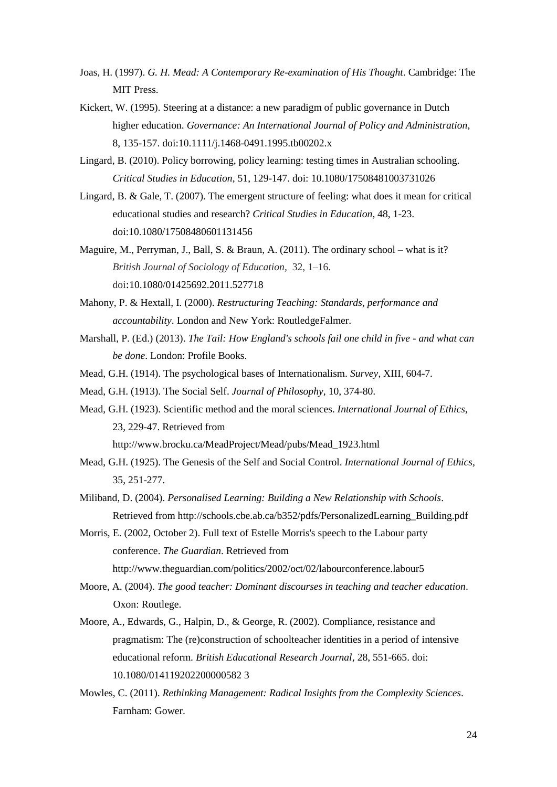- Joas, H. (1997). *G. H. Mead: A Contemporary Re-examination of His Thought*. Cambridge: The MIT Press.
- Kickert, W. (1995). Steering at a distance: a new paradigm of public governance in Dutch higher education. *Governance: An International Journal of Policy and Administration*, 8, 135-157. doi:10.1111/j.1468-0491.1995.tb00202.x
- Lingard, B. (2010). Policy borrowing, policy learning: testing times in Australian schooling. *Critical Studies in Education*, 51, 129-147. doi: 10.1080/17508481003731026
- Lingard, B. & Gale, T. (2007). The emergent structure of feeling: what does it mean for critical educational studies and research? *Critical Studies in Education*, 48, 1-23. doi:10.1080/17508480601131456
- Maguire, M., Perryman, J., Ball, S. & Braun, A. (2011). The ordinary school what is it? *British Journal of Sociology of Education,* 32, 1–16. doi:10.1080/01425692.2011.527718
- Mahony, P. & Hextall, I. (2000). *Restructuring Teaching: Standards, performance and accountability*. London and New York: RoutledgeFalmer.
- Marshall, P. (Ed.) (2013). *The Tail: How England's schools fail one child in five - and what can be done*. London: Profile Books.
- Mead, G.H. (1914). The psychological bases of Internationalism. *Survey*, XIII, 604-7.
- Mead, G.H. (1913). The Social Self. *Journal of Philosophy*, 10, 374-80.
- Mead, G.H. (1923). Scientific method and the moral sciences. *International Journal of Ethics,* 23, 229-47. Retrieved from [http://www.brocku.ca/MeadProject/Mead/pubs/Mead\\_1923.html](http://www.brocku.ca/MeadProject/Mead/pubs/Mead_1923.html)
- Mead, G.H. (1925). The Genesis of the Self and Social Control. *International Journal of Ethics,* 35, 251-277.
- Miliband, D. (2004). *Personalised Learning: Building a New Relationship with Schools*. Retrieved from [http://schools.cbe.ab.ca/b352/pdfs/PersonalizedLearning\\_Building.pdf](http://schools.cbe.ab.ca/b352/pdfs/PersonalizedLearning_Building.pdf)
- Morris, E. (2002, October 2). Full text of Estelle Morris's speech to the Labour party conference. *The Guardian*. Retrieved from http://www.theguardian.com/politics/2002/oct/02/labourconference.labour5
- Moore, A. (2004). *The good teacher: Dominant discourses in teaching and teacher education*. Oxon: Routlege.
- Moore, A., Edwards, G., Halpin, D., & George, R. (2002). Compliance, resistance and pragmatism: The (re)construction of schoolteacher identities in a period of intensive educational reform. *British Educational Research Journal,* 28, 551-665. doi: 10.1080/014119202200000582 3
- Mowles, C. (2011). *Rethinking Management: Radical Insights from the Complexity Sciences.* Farnham: Gower.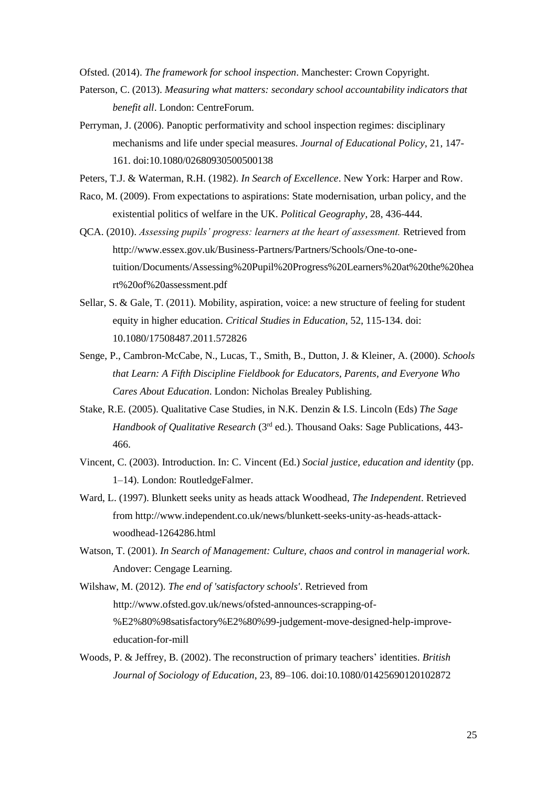Ofsted. (2014). *The framework for school inspection*. Manchester: Crown Copyright.

- Paterson, C. (2013). *Measuring what matters: secondary school accountability indicators that benefit all*. London: CentreForum.
- Perryman, J. (2006). Panoptic performativity and school inspection regimes: disciplinary mechanisms and life under special measures. *Journal of Educational Policy*, 21, 147- 161. doi:10.1080/02680930500500138
- Peters, T.J. & Waterman, R.H. (1982). *In Search of Excellence*. New York: Harper and Row.
- Raco, M. (2009). From expectations to aspirations: State modernisation, urban policy, and the existential politics of welfare in the UK. *Political Geography*, 28, 436-444.
- QCA. (2010). *Assessing pupils' progress: learners at the heart of assessment.* Retrieved from [http://www.essex.gov.uk/Business-Partners/Partners/Schools/One-to-one](http://www.essex.gov.uk/Business-Partners/Partners/Schools/One-to-one-tuition/Documents/Assessing%20Pupil%20Progress%20Learners%20at%20the%20heart%20of%20assessment.pdf)[tuition/Documents/Assessing%20Pupil%20Progress%20Learners%20at%20the%20hea](http://www.essex.gov.uk/Business-Partners/Partners/Schools/One-to-one-tuition/Documents/Assessing%20Pupil%20Progress%20Learners%20at%20the%20heart%20of%20assessment.pdf) [rt%20of%20assessment.pdf](http://www.essex.gov.uk/Business-Partners/Partners/Schools/One-to-one-tuition/Documents/Assessing%20Pupil%20Progress%20Learners%20at%20the%20heart%20of%20assessment.pdf)
- Sellar, S. & Gale, T. (2011). Mobility, aspiration, voice: a new structure of feeling for student equity in higher education. *Critical Studies in Education*, 52, 115-134. doi: 10.1080/17508487.2011.572826
- Senge, P., Cambron-McCabe, N., Lucas, T., Smith, B., Dutton, J. & Kleiner, A. (2000). *Schools that Learn: A Fifth Discipline Fieldbook for Educators, Parents, and Everyone Who Cares About Education*. London: Nicholas Brealey Publishing.
- Stake, R.E. (2005). Qualitative Case Studies, in N.K. Denzin & I.S. Lincoln (Eds) *The Sage Handbook of Qualitative Research* (3rd ed.). Thousand Oaks: Sage Publications, 443- 466.
- Vincent, C. (2003). Introduction. In: C. Vincent (Ed.) *Social justice, education and identity* (pp. 1–14)*.* London: RoutledgeFalmer.
- Ward, L. (1997). Blunkett seeks unity as heads attack Woodhead, *The Independent*. Retrieved from [http://www.independent.co.uk/news/blunkett-seeks-unity-as-heads-attack](http://www.independent.co.uk/news/blunkett-seeks-unity-as-heads-attack-woodhead-1264286.html)[woodhead-1264286.html](http://www.independent.co.uk/news/blunkett-seeks-unity-as-heads-attack-woodhead-1264286.html)
- Watson, T. (2001). *In Search of Management: Culture, chaos and control in managerial work.* Andover: Cengage Learning.

Wilshaw, M. (2012). *The end of 'satisfactory schools'*. Retrieved from [http://www.ofsted.gov.uk/news/ofsted-announces-scrapping-of-](http://www.ofsted.gov.uk/news/ofsted-announces-scrapping-of-%E2%80%98satisfactory%E2%80%99-judgement-move-designed-help-improve-education-for-mill) [%E2%80%98satisfactory%E2%80%99-judgement-move-designed-help-improve](http://www.ofsted.gov.uk/news/ofsted-announces-scrapping-of-%E2%80%98satisfactory%E2%80%99-judgement-move-designed-help-improve-education-for-mill)[education-for-mill](http://www.ofsted.gov.uk/news/ofsted-announces-scrapping-of-%E2%80%98satisfactory%E2%80%99-judgement-move-designed-help-improve-education-for-mill)

Woods, P. & Jeffrey, B. (2002). The reconstruction of primary teachers' identities. *British Journal of Sociology of Education*, 23, 89–106. doi:10.1080/01425690120102872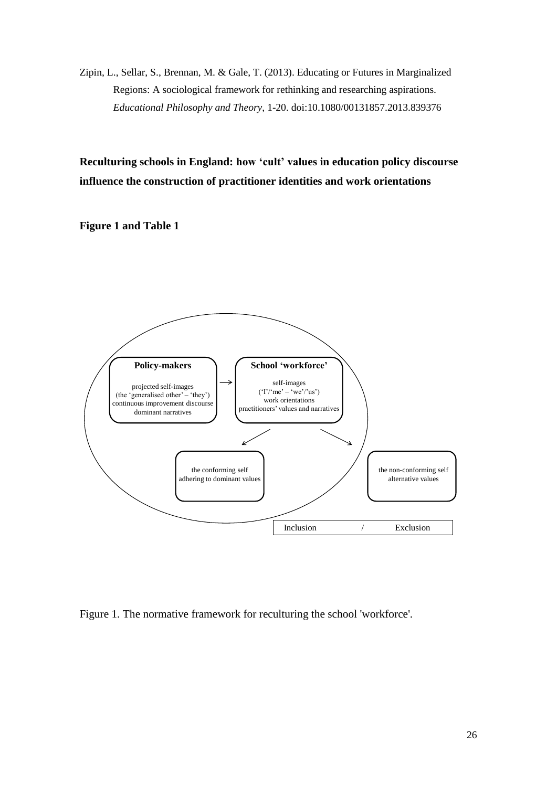Zipin, L., Sellar, S., Brennan, M. & Gale, T. (2013). Educating or Futures in Marginalized Regions: A sociological framework for rethinking and researching aspirations. *Educational Philosophy and Theory*, 1-20. doi:10.1080/00131857.2013.839376

**Reculturing schools in England: how 'cult' values in education policy discourse influence the construction of practitioner identities and work orientations**

**Figure 1 and Table 1**



Figure 1. The normative framework for reculturing the school 'workforce'.